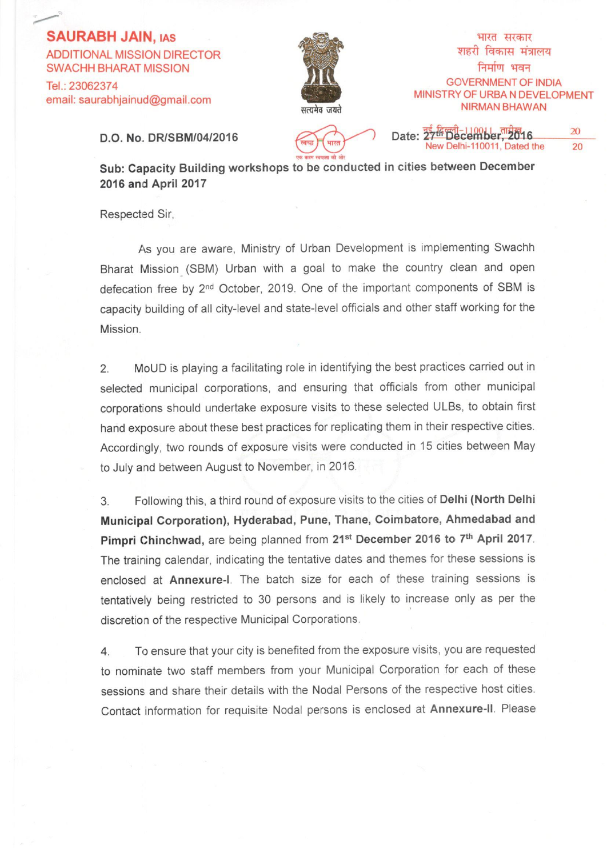## **SAURABH JAIN, IAS**

**ADDITIONAL MISSION DIRECTOR SWACHH BHARAT MISSION** Tel.: 23062374 email: saurabhjainud@gmail.com



भारत सरकार शहरी विकास मंत्रालय निर्माण भवन **GOVERNMENT OF INDIA** MINISTRY OF URBA N DEVELOPMENT **NIRMAN BHAWAN** 

D.O. No. DR/SBM/04/2016

भारत

20 Date: 27<sup>th</sup> December 2016 New Delhi-110011, Dated the 20

Sub: Capacity Building workshops to be conducted in cities between December 2016 and April 2017

Respected Sir,

As you are aware, Ministry of Urban Development is implementing Swachh Bharat Mission (SBM) Urban with a goal to make the country clean and open defecation free by 2<sup>nd</sup> October, 2019. One of the important components of SBM is capacity building of all city-level and state-level officials and other staff working for the Mission.

MoUD is playing a facilitating role in identifying the best practices carried out in  $2.$ selected municipal corporations, and ensuring that officials from other municipal corporations should undertake exposure visits to these selected ULBs, to obtain first hand exposure about these best practices for replicating them in their respective cities. Accordingly, two rounds of exposure visits were conducted in 15 cities between May to July and between August to November, in 2016.

Following this, a third round of exposure visits to the cities of Delhi (North Delhi 3 Municipal Corporation), Hyderabad, Pune, Thane, Coimbatore, Ahmedabad and Pimpri Chinchwad, are being planned from 21<sup>st</sup> December 2016 to 7<sup>th</sup> April 2017. The training calendar, indicating the tentative dates and themes for these sessions is enclosed at Annexure-I. The batch size for each of these training sessions is tentatively being restricted to 30 persons and is likely to increase only as per the discretion of the respective Municipal Corporations.

To ensure that your city is benefited from the exposure visits, you are requested 4. to nominate two staff members from your Municipal Corporation for each of these sessions and share their details with the Nodal Persons of the respective host cities. Contact information for requisite Nodal persons is enclosed at Annexure-II. Please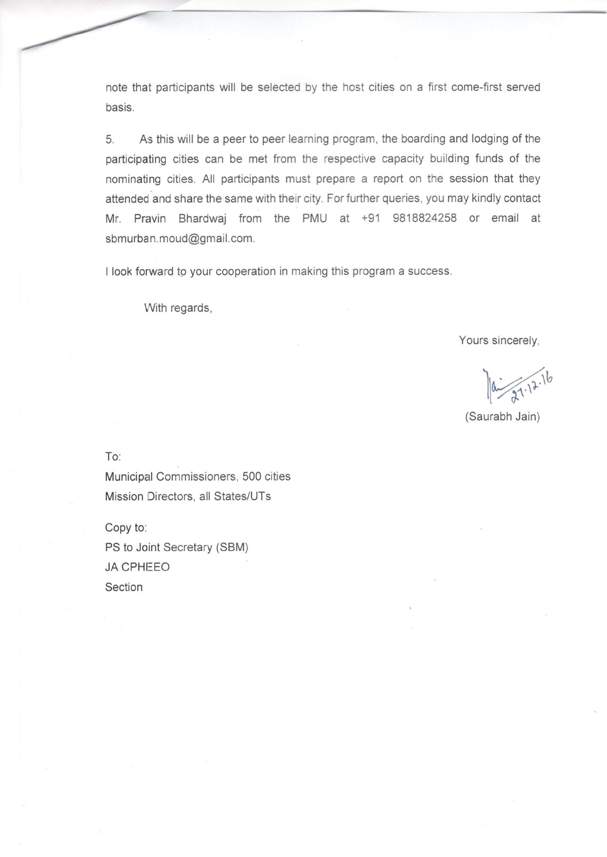note that participants will be selected by the host cities on a first come-first served basis.

As this will be a peer to peer learning program, the boarding and lodging of the 5. participating cities can be met from the respective capacity building funds of the nominating cities. All participants must prepare a report on the session that they attended and share the same with their city. For further queries, you may kindly contact Mr. Pravin Bhardwaj from the PMU at +91 9818824258 or email at sbmurban.moud@gmail.com.

I look forward to your cooperation in making this program a success.

With regards,

Yours sincerely,

 $27.12.16$ 

(Saurabh Jain)

To:

Municipal Commissioners, 500 cities Mission Directors, all States/UTs

Copy to: PS to Joint Secretary (SBM) **JA CPHEEO** Section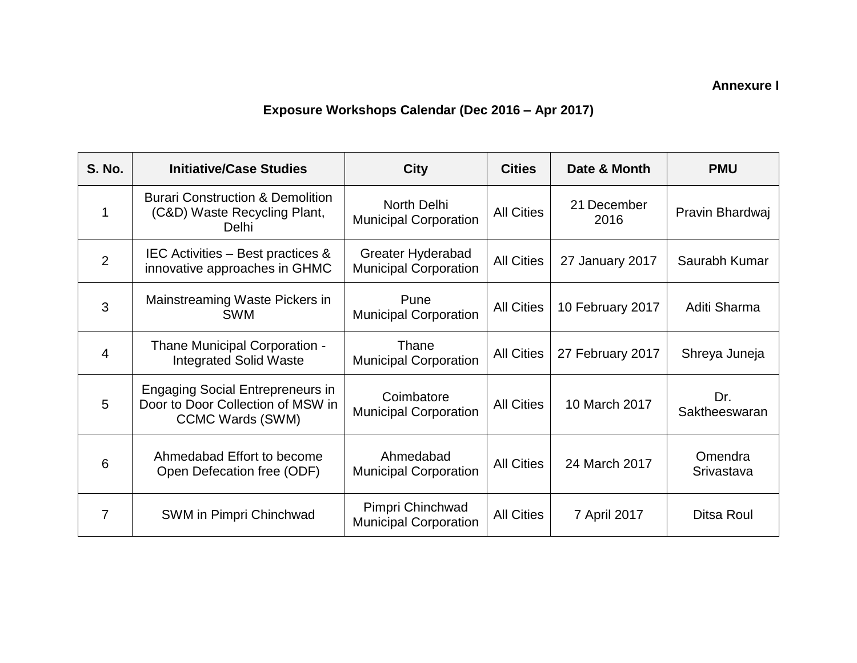**Annexure I**

## **Exposure Workshops Calendar (Dec 2016 – Apr 2017)**

| <b>S. No.</b> | <b>Initiative/Case Studies</b>                                                                          | <b>City</b>                                       | <b>Cities</b>     | Date & Month        | <b>PMU</b>            |
|---------------|---------------------------------------------------------------------------------------------------------|---------------------------------------------------|-------------------|---------------------|-----------------------|
| 1             | <b>Burari Construction &amp; Demolition</b><br>(C&D) Waste Recycling Plant,<br>Delhi                    | North Delhi<br><b>Municipal Corporation</b>       | <b>All Cities</b> | 21 December<br>2016 | Pravin Bhardwaj       |
| 2             | IEC Activities – Best practices &<br>innovative approaches in GHMC                                      | Greater Hyderabad<br><b>Municipal Corporation</b> | <b>All Cities</b> | 27 January 2017     | Saurabh Kumar         |
| 3             | Mainstreaming Waste Pickers in<br><b>SWM</b>                                                            | Pune<br><b>Municipal Corporation</b>              | <b>All Cities</b> | 10 February 2017    | Aditi Sharma          |
| 4             | Thane Municipal Corporation -<br><b>Integrated Solid Waste</b>                                          | Thane<br><b>Municipal Corporation</b>             | <b>All Cities</b> | 27 February 2017    | Shreya Juneja         |
| 5             | <b>Engaging Social Entrepreneurs in</b><br>Door to Door Collection of MSW in<br><b>CCMC Wards (SWM)</b> | Coimbatore<br><b>Municipal Corporation</b>        | <b>All Cities</b> | 10 March 2017       | Dr.<br>Saktheeswaran  |
| 6             | Ahmedabad Effort to become<br>Open Defecation free (ODF)                                                | Ahmedabad<br><b>Municipal Corporation</b>         | <b>All Cities</b> | 24 March 2017       | Omendra<br>Srivastava |
| 7             | SWM in Pimpri Chinchwad                                                                                 | Pimpri Chinchwad<br><b>Municipal Corporation</b>  | <b>All Cities</b> | 7 April 2017        | Ditsa Roul            |